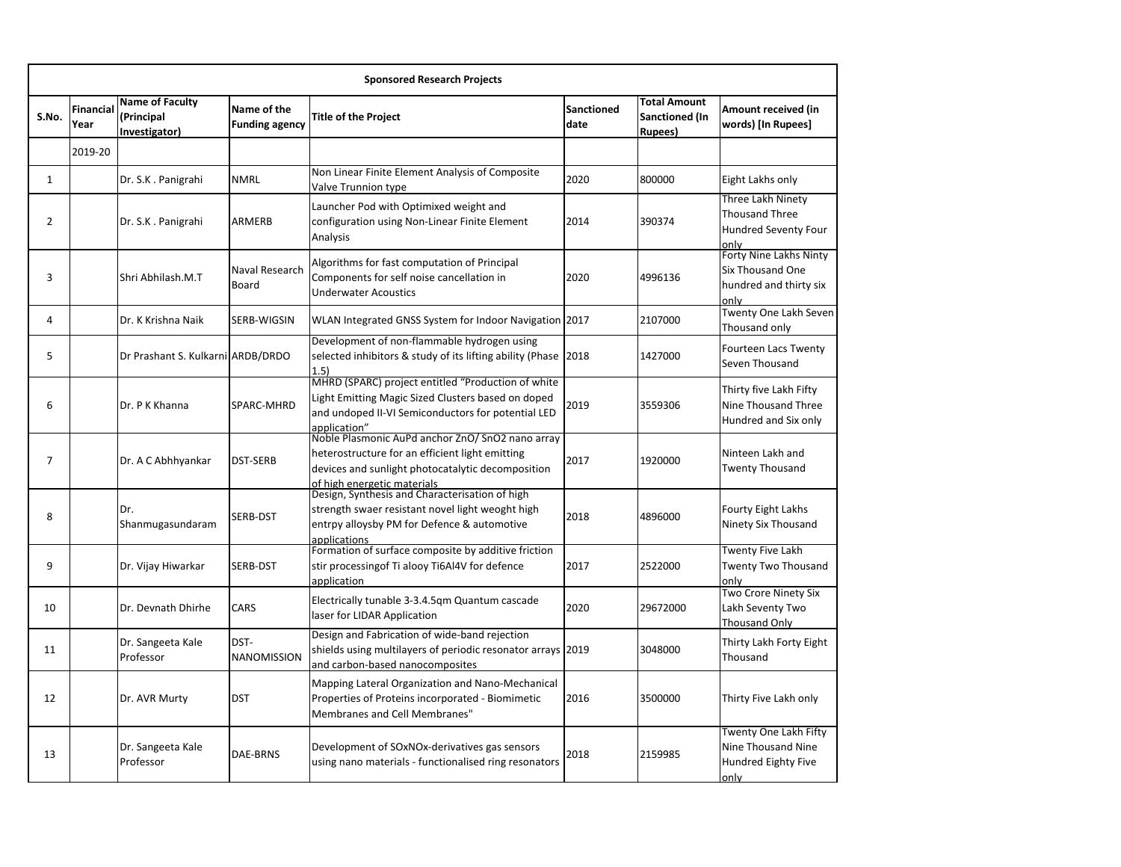| <b>Sponsored Research Projects</b> |                   |                                                       |                                      |                                                                                                                                                                                         |                           |                                                                 |                                                                               |
|------------------------------------|-------------------|-------------------------------------------------------|--------------------------------------|-----------------------------------------------------------------------------------------------------------------------------------------------------------------------------------------|---------------------------|-----------------------------------------------------------------|-------------------------------------------------------------------------------|
| S.No.                              | Financial<br>Year | <b>Name of Faculty</b><br>(Principal<br>Investigator) | Name of the<br><b>Funding agency</b> | <b>Title of the Project</b>                                                                                                                                                             | <b>Sanctioned</b><br>date | <b>Total Amount</b><br><b>Sanctioned (In</b><br><b>Rupees</b> ) | Amount received (in<br>words) [In Rupees]                                     |
|                                    | 2019-20           |                                                       |                                      |                                                                                                                                                                                         |                           |                                                                 |                                                                               |
| 1                                  |                   | Dr. S.K. Panigrahi                                    | <b>NMRL</b>                          | Non Linear Finite Element Analysis of Composite<br>Valve Trunnion type                                                                                                                  | 2020                      | 800000                                                          | Eight Lakhs only                                                              |
| 2                                  |                   | Dr. S.K. Panigrahi                                    | ARMERB                               | Launcher Pod with Optimixed weight and<br>configuration using Non-Linear Finite Element<br>Analysis                                                                                     | 2014                      | 390374                                                          | Three Lakh Ninety<br><b>Thousand Three</b><br>Hundred Seventy Four<br>lonly   |
| 3                                  |                   | Shri Abhilash.M.T                                     | Naval Research<br>Board              | Algorithms for fast computation of Principal<br>Components for self noise cancellation in<br><b>Underwater Acoustics</b>                                                                | 2020                      | 4996136                                                         | Forty Nine Lakhs Ninty<br>Six Thousand One<br>hundred and thirty six<br>lonly |
| 4                                  |                   | Dr. K Krishna Naik                                    | SERB-WIGSIN                          | WLAN Integrated GNSS System for Indoor Navigation 2017                                                                                                                                  |                           | 2107000                                                         | <b>Twenty One Lakh Seven</b><br>Thousand only                                 |
| 5                                  |                   | Dr Prashant S. Kulkarni ARDB/DRDO                     |                                      | Development of non-flammable hydrogen using<br>selected inhibitors & study of its lifting ability (Phase<br>1.5)                                                                        | 2018                      | 1427000                                                         | <b>Fourteen Lacs Twenty</b><br>Seven Thousand                                 |
| 6                                  |                   | Dr. P K Khanna                                        | SPARC-MHRD                           | MHRD (SPARC) project entitled "Production of white<br>Light Emitting Magic Sized Clusters based on doped<br>and undoped II-VI Semiconductors for potential LED<br>application"          | 2019                      | 3559306                                                         | Thirty five Lakh Fifty<br>Nine Thousand Three<br>Hundred and Six only         |
| 7                                  |                   | Dr. A C Abhhyankar                                    | DST-SERB                             | Noble Plasmonic AuPd anchor ZnO/ SnO2 nano array<br>heterostructure for an efficient light emitting<br>devices and sunlight photocatalytic decomposition<br>of high energetic materials | 2017                      | 1920000                                                         | Ninteen Lakh and<br><b>Twenty Thousand</b>                                    |
| 8                                  |                   | Dr.<br>Shanmugasundaram                               | SERB-DST                             | Design, Synthesis and Characterisation of high<br>strength swaer resistant novel light weoght high<br>entrpy alloysby PM for Defence & automotive<br>applications                       | 2018                      | 4896000                                                         | Fourty Eight Lakhs<br>Ninety Six Thousand                                     |
| 9                                  |                   | Dr. Vijay Hiwarkar                                    | SERB-DST                             | Formation of surface composite by additive friction<br>stir processingof Ti alooy Ti6Al4V for defence<br>application                                                                    | 2017                      | 2522000                                                         | <b>Twenty Five Lakh</b><br>Twenty Two Thousand<br>only                        |
| 10                                 |                   | Dr. Devnath Dhirhe                                    | CARS                                 | Electrically tunable 3-3.4.5qm Quantum cascade<br>laser for LIDAR Application                                                                                                           | 2020                      | 29672000                                                        | Two Crore Ninety Six<br>Lakh Seventy Two<br><b>Thousand Only</b>              |
| 11                                 |                   | Dr. Sangeeta Kale<br>Professor                        | DST-<br>NANOMISSION                  | Design and Fabrication of wide-band rejection<br>shields using multilayers of periodic resonator arrays 2019<br>and carbon-based nanocomposites                                         |                           | 3048000                                                         | Thirty Lakh Forty Eight<br>Thousand                                           |
| 12                                 |                   | Dr. AVR Murty                                         | <b>DST</b>                           | Mapping Lateral Organization and Nano-Mechanical<br>Properties of Proteins incorporated - Biomimetic<br>Membranes and Cell Membranes"                                                   | 2016                      | 3500000                                                         | Thirty Five Lakh only                                                         |
| 13                                 |                   | Dr. Sangeeta Kale<br>Professor                        | DAE-BRNS                             | Development of SOxNOx-derivatives gas sensors<br>using nano materials - functionalised ring resonators                                                                                  | 2018                      | 2159985                                                         | Twenty One Lakh Fifty<br>Nine Thousand Nine<br>Hundred Eighty Five<br>only    |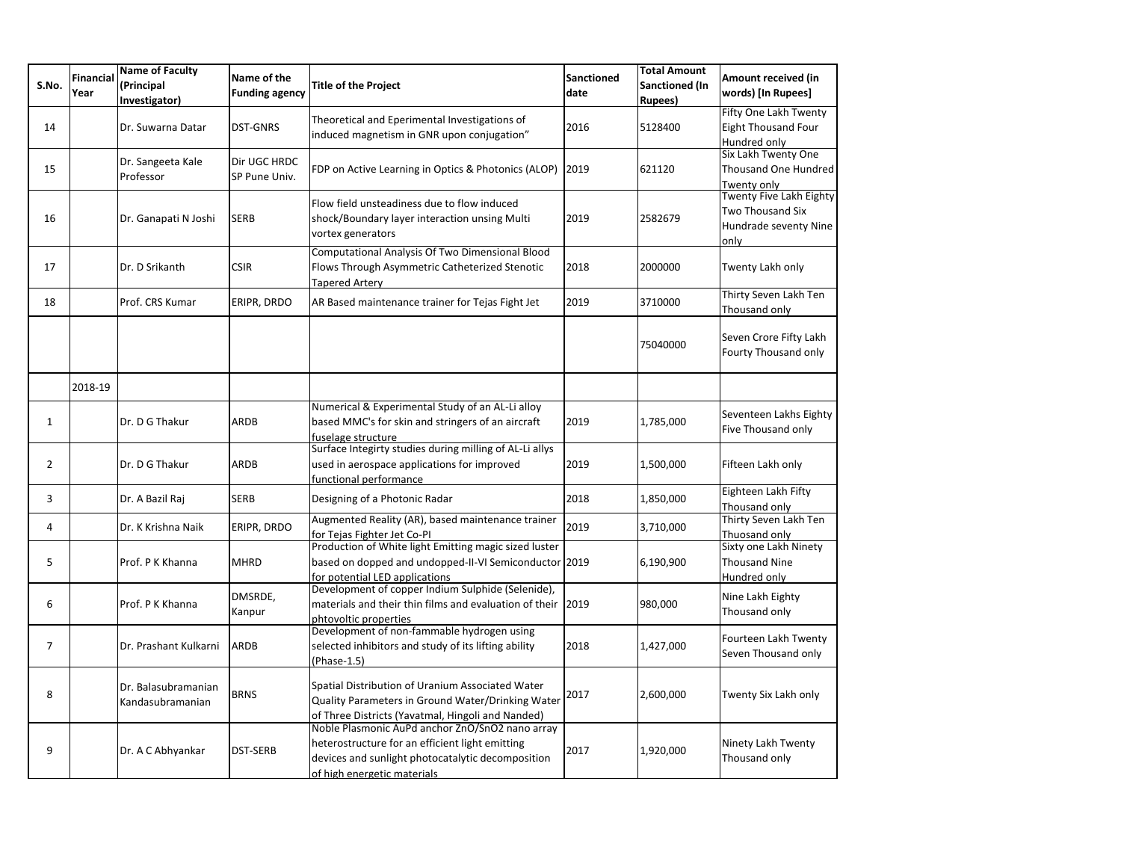| S.No. | <b>Financial</b><br>Year | <b>Name of Faculty</b><br>(Principal<br>Investigator) | Name of the<br><b>Funding agency</b> | <b>Title of the Project</b>                                                                                                                                                            | <b>Sanctioned</b><br>date | <b>Total Amount</b><br><b>Sanctioned (In</b><br><b>Rupees</b> ) | Amount received (in<br>words) [In Rupees]                                           |
|-------|--------------------------|-------------------------------------------------------|--------------------------------------|----------------------------------------------------------------------------------------------------------------------------------------------------------------------------------------|---------------------------|-----------------------------------------------------------------|-------------------------------------------------------------------------------------|
| 14    |                          | Dr. Suwarna Datar                                     | <b>DST-GNRS</b>                      | Theoretical and Eperimental Investigations of<br>induced magnetism in GNR upon conjugation"                                                                                            | 2016                      | 5128400                                                         | Fifty One Lakh Twenty<br><b>Eight Thousand Four</b><br>Hundred only                 |
| 15    |                          | Dr. Sangeeta Kale<br>Professor                        | Dir UGC HRDC<br>SP Pune Univ.        | FDP on Active Learning in Optics & Photonics (ALOP)                                                                                                                                    | 2019                      | 621120                                                          | Six Lakh Twenty One<br><b>Thousand One Hundred</b><br>Twenty only                   |
| 16    |                          | Dr. Ganapati N Joshi                                  | <b>SERB</b>                          | Flow field unsteadiness due to flow induced<br>shock/Boundary layer interaction unsing Multi<br>vortex generators                                                                      | 2019                      | 2582679                                                         | Twenty Five Lakh Eighty<br><b>Two Thousand Six</b><br>Hundrade seventy Nine<br>only |
| 17    |                          | Dr. D Srikanth                                        | <b>CSIR</b>                          | Computational Analysis Of Two Dimensional Blood<br>Flows Through Asymmetric Catheterized Stenotic<br><b>Tapered Artery</b>                                                             | 2018                      | 2000000                                                         | Twenty Lakh only                                                                    |
| 18    |                          | Prof. CRS Kumar                                       | ERIPR, DRDO                          | AR Based maintenance trainer for Tejas Fight Jet                                                                                                                                       | 2019                      | 3710000                                                         | Thirty Seven Lakh Ten<br>Thousand only                                              |
|       |                          |                                                       |                                      |                                                                                                                                                                                        |                           | 75040000                                                        | Seven Crore Fifty Lakh<br>Fourty Thousand only                                      |
|       | 2018-19                  |                                                       |                                      |                                                                                                                                                                                        |                           |                                                                 |                                                                                     |
| 1     |                          | Dr. D G Thakur                                        | <b>ARDB</b>                          | Numerical & Experimental Study of an AL-Li alloy<br>based MMC's for skin and stringers of an aircraft<br>fuselage structure                                                            | 2019                      | 1,785,000                                                       | Seventeen Lakhs Eighty<br>Five Thousand only                                        |
| 2     |                          | Dr. D G Thakur                                        | ARDB                                 | Surface Integirty studies during milling of AL-Li allys<br>used in aerospace applications for improved<br>functional performance                                                       | 2019                      | 1,500,000                                                       | Fifteen Lakh only                                                                   |
| 3     |                          | Dr. A Bazil Raj                                       | <b>SERB</b>                          | Designing of a Photonic Radar                                                                                                                                                          | 2018                      | 1,850,000                                                       | Eighteen Lakh Fifty<br>Thousand only                                                |
| 4     |                          | Dr. K Krishna Naik                                    | ERIPR, DRDO                          | Augmented Reality (AR), based maintenance trainer<br>for Tejas Fighter Jet Co-PI                                                                                                       | 2019                      | 3,710,000                                                       | Thirty Seven Lakh Ten<br>Thuosand only                                              |
| 5     |                          | Prof. P K Khanna                                      | <b>MHRD</b>                          | Production of White light Emitting magic sized luster<br>based on dopped and undopped-II-VI Semiconductor 2019<br>for potential LED applications                                       |                           | 6,190,900                                                       | Sixty one Lakh Ninety<br><b>Thousand Nine</b><br>Hundred only                       |
| 6     |                          | Prof. P K Khanna                                      | DMSRDE,<br>Kanpur                    | Development of copper Indium Sulphide (Selenide),<br>materials and their thin films and evaluation of their 2019<br>phtovoltic properties                                              |                           | 980,000                                                         | Nine Lakh Eighty<br>Thousand only                                                   |
| 7     |                          | Dr. Prashant Kulkarni                                 | <b>ARDB</b>                          | Development of non-fammable hydrogen using<br>selected inhibitors and study of its lifting ability<br>(Phase-1.5)                                                                      | 2018                      | 1,427,000                                                       | Fourteen Lakh Twenty<br>Seven Thousand only                                         |
| 8     |                          | Dr. Balasubramanian<br>Kandasubramanian               | <b>BRNS</b>                          | Spatial Distribution of Uranium Associated Water<br>Quality Parameters in Ground Water/Drinking Water<br>of Three Districts (Yavatmal, Hingoli and Nanded)                             | 2017                      | 2,600,000                                                       | Twenty Six Lakh only                                                                |
| 9     |                          | Dr. A C Abhyankar                                     | <b>DST-SERB</b>                      | Noble Plasmonic AuPd anchor ZnO/SnO2 nano array<br>heterostructure for an efficient light emitting<br>devices and sunlight photocatalytic decomposition<br>of high energetic materials | 2017                      | 1,920,000                                                       | Ninety Lakh Twenty<br>Thousand only                                                 |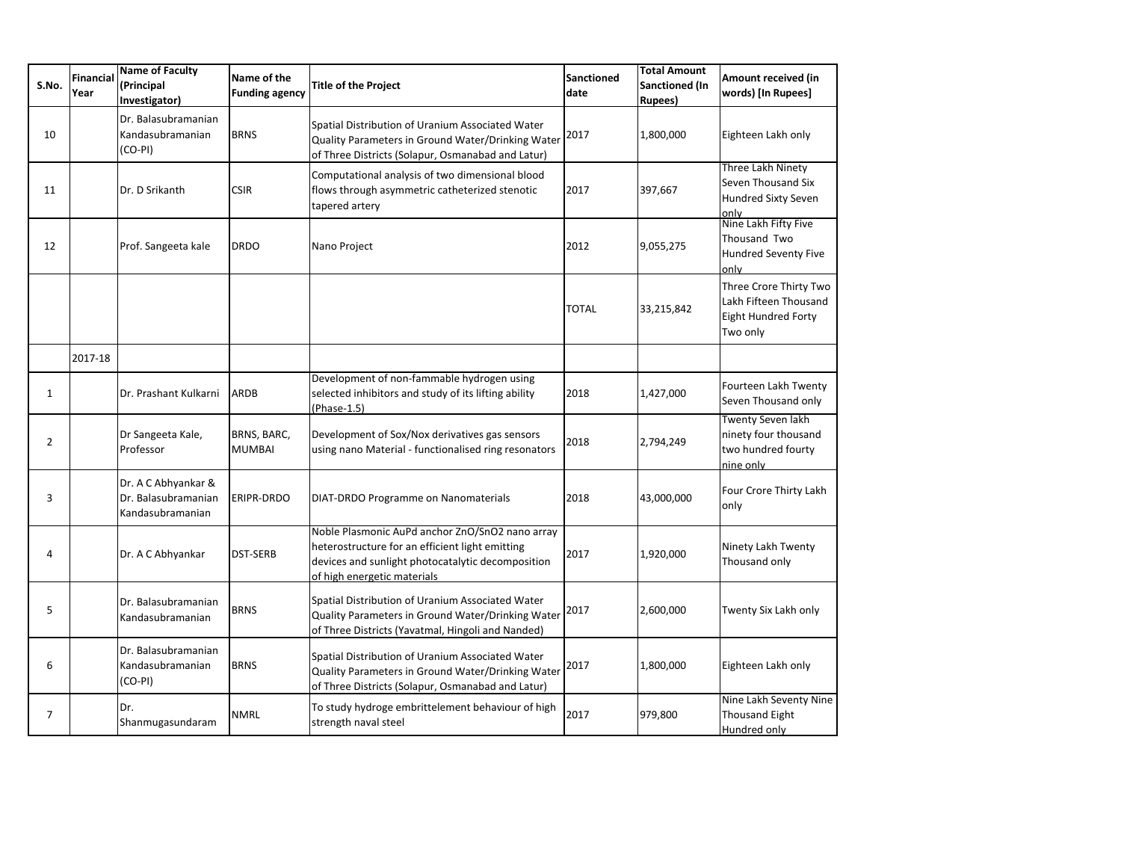| S.No. | Financial<br>Year | <b>Name of Faculty</b><br>(Principal<br>Investigator)          | Name of the<br><b>Funding agency</b> | <b>Title of the Project</b>                                                                                                                                                            | <b>Sanctioned</b><br>date | <b>Total Amount</b><br><b>Sanctioned (In</b><br><b>Rupees</b> ) | Amount received (in<br>words) [In Rupees]                                           |
|-------|-------------------|----------------------------------------------------------------|--------------------------------------|----------------------------------------------------------------------------------------------------------------------------------------------------------------------------------------|---------------------------|-----------------------------------------------------------------|-------------------------------------------------------------------------------------|
| 10    |                   | Dr. Balasubramanian<br>Kandasubramanian<br>$(CO-PI)$           | <b>BRNS</b>                          | Spatial Distribution of Uranium Associated Water<br>Quality Parameters in Ground Water/Drinking Water<br>of Three Districts (Solapur, Osmanabad and Latur)                             | 2017                      | 1,800,000                                                       | Eighteen Lakh only                                                                  |
| 11    |                   | Dr. D Srikanth                                                 | <b>CSIR</b>                          | Computational analysis of two dimensional blood<br>flows through asymmetric catheterized stenotic<br>tapered artery                                                                    | 2017                      | 397,667                                                         | Three Lakh Ninety<br>Seven Thousand Six<br><b>Hundred Sixty Seven</b><br>only       |
| 12    |                   | Prof. Sangeeta kale                                            | <b>DRDO</b>                          | Nano Project                                                                                                                                                                           | 2012                      | 9,055,275                                                       | Nine Lakh Fifty Five<br>Thousand Two<br><b>Hundred Seventy Five</b><br>only         |
|       |                   |                                                                |                                      |                                                                                                                                                                                        | <b>TOTAL</b>              | 33,215,842                                                      | Three Crore Thirty Two<br>Lakh Fifteen Thousand<br>Eight Hundred Forty<br>Two only  |
|       | 2017-18           |                                                                |                                      |                                                                                                                                                                                        |                           |                                                                 |                                                                                     |
| 1     |                   | Dr. Prashant Kulkarni                                          | <b>ARDB</b>                          | Development of non-fammable hydrogen using<br>selected inhibitors and study of its lifting ability<br>(Phase-1.5)                                                                      | 2018                      | 1,427,000                                                       | Fourteen Lakh Twenty<br>Seven Thousand only                                         |
| 2     |                   | Dr Sangeeta Kale,<br>Professor                                 | BRNS, BARC,<br><b>MUMBAI</b>         | Development of Sox/Nox derivatives gas sensors<br>using nano Material - functionalised ring resonators                                                                                 | 2018                      | 2,794,249                                                       | <b>Twenty Seven lakh</b><br>ninety four thousand<br>two hundred fourty<br>nine only |
| 3     |                   | Dr. A C Abhyankar &<br>Dr. Balasubramanian<br>Kandasubramanian | <b>ERIPR-DRDO</b>                    | DIAT-DRDO Programme on Nanomaterials                                                                                                                                                   | 2018                      | 43,000,000                                                      | Four Crore Thirty Lakh<br>only                                                      |
| 4     |                   | Dr. A C Abhyankar                                              | <b>DST-SERB</b>                      | Noble Plasmonic AuPd anchor ZnO/SnO2 nano array<br>heterostructure for an efficient light emitting<br>devices and sunlight photocatalytic decomposition<br>of high energetic materials | 2017                      | 1,920,000                                                       | Ninety Lakh Twenty<br>Thousand only                                                 |
| 5     |                   | Dr. Balasubramanian<br>Kandasubramanian                        | <b>BRNS</b>                          | Spatial Distribution of Uranium Associated Water<br>Quality Parameters in Ground Water/Drinking Water<br>of Three Districts (Yavatmal, Hingoli and Nanded)                             | 2017                      | 2,600,000                                                       | Twenty Six Lakh only                                                                |
| 6     |                   | Dr. Balasubramanian<br>Kandasubramanian<br>$(CO-PI)$           | <b>BRNS</b>                          | Spatial Distribution of Uranium Associated Water<br>Quality Parameters in Ground Water/Drinking Water<br>of Three Districts (Solapur, Osmanabad and Latur)                             | 2017                      | 1,800,000                                                       | Eighteen Lakh only                                                                  |
| 7     |                   | Dr.<br>Shanmugasundaram                                        | <b>NMRL</b>                          | To study hydroge embrittelement behaviour of high<br>strength naval steel                                                                                                              | 2017                      | 979,800                                                         | Nine Lakh Seventy Nine<br>Thousand Eight<br>Hundred only                            |